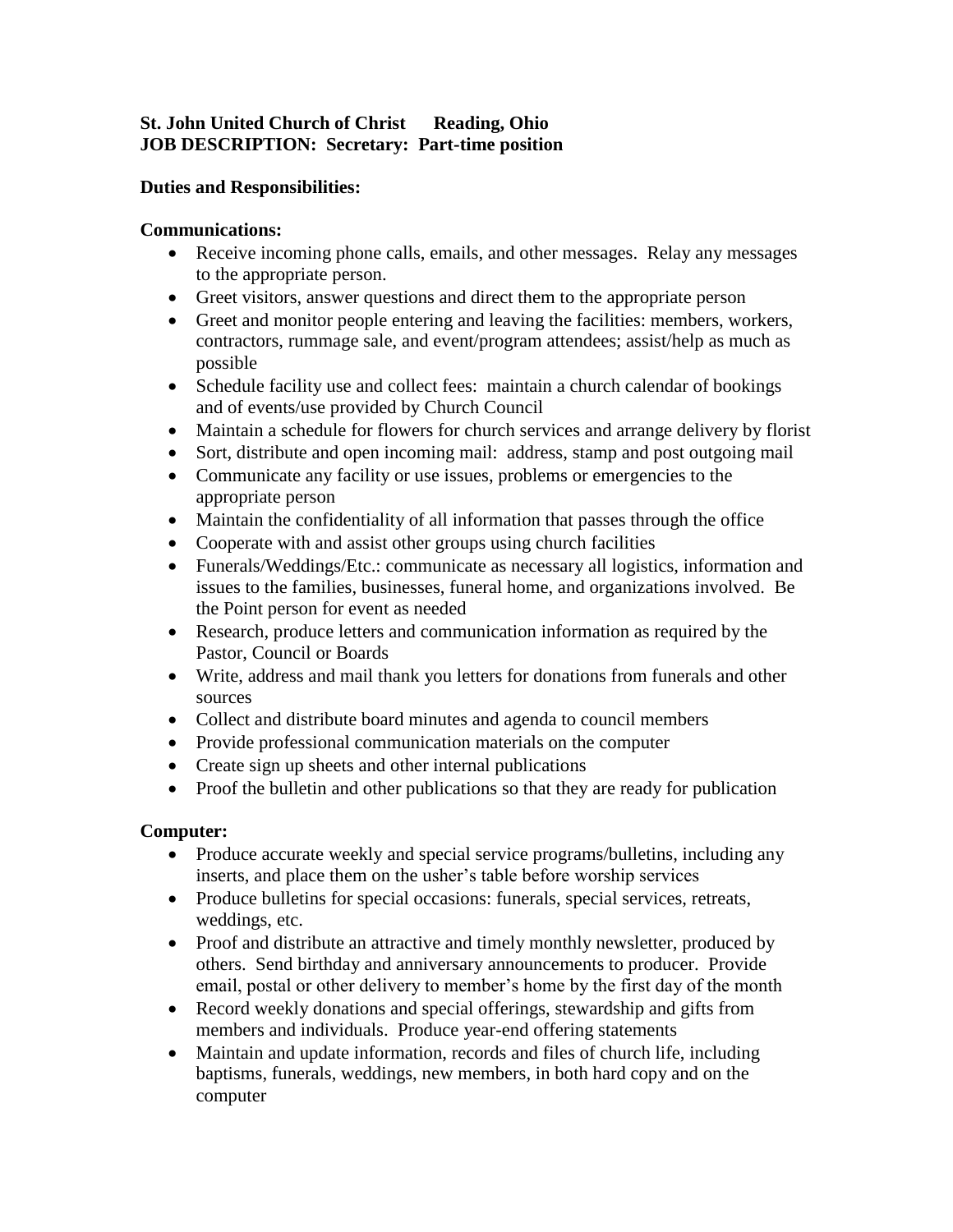## **St. John United Church of Christ Reading, Ohio JOB DESCRIPTION: Secretary: Part-time position**

## **Duties and Responsibilities:**

### **Communications:**

- Receive incoming phone calls, emails, and other messages. Relay any messages to the appropriate person.
- Greet visitors, answer questions and direct them to the appropriate person
- Greet and monitor people entering and leaving the facilities: members, workers, contractors, rummage sale, and event/program attendees; assist/help as much as possible
- Schedule facility use and collect fees: maintain a church calendar of bookings and of events/use provided by Church Council
- Maintain a schedule for flowers for church services and arrange delivery by florist
- Sort, distribute and open incoming mail: address, stamp and post outgoing mail
- Communicate any facility or use issues, problems or emergencies to the appropriate person
- Maintain the confidentiality of all information that passes through the office
- Cooperate with and assist other groups using church facilities
- Funerals/Weddings/Etc.: communicate as necessary all logistics, information and issues to the families, businesses, funeral home, and organizations involved. Be the Point person for event as needed
- Research, produce letters and communication information as required by the Pastor, Council or Boards
- Write, address and mail thank you letters for donations from funerals and other sources
- Collect and distribute board minutes and agenda to council members
- Provide professional communication materials on the computer
- Create sign up sheets and other internal publications
- Proof the bulletin and other publications so that they are ready for publication

# **Computer:**

- Produce accurate weekly and special service programs/bulletins, including any inserts, and place them on the usher's table before worship services
- Produce bulletins for special occasions: funerals, special services, retreats, weddings, etc.
- Proof and distribute an attractive and timely monthly newsletter, produced by others. Send birthday and anniversary announcements to producer. Provide email, postal or other delivery to member's home by the first day of the month
- Record weekly donations and special offerings, stewardship and gifts from members and individuals. Produce year-end offering statements
- Maintain and update information, records and files of church life, including baptisms, funerals, weddings, new members, in both hard copy and on the computer